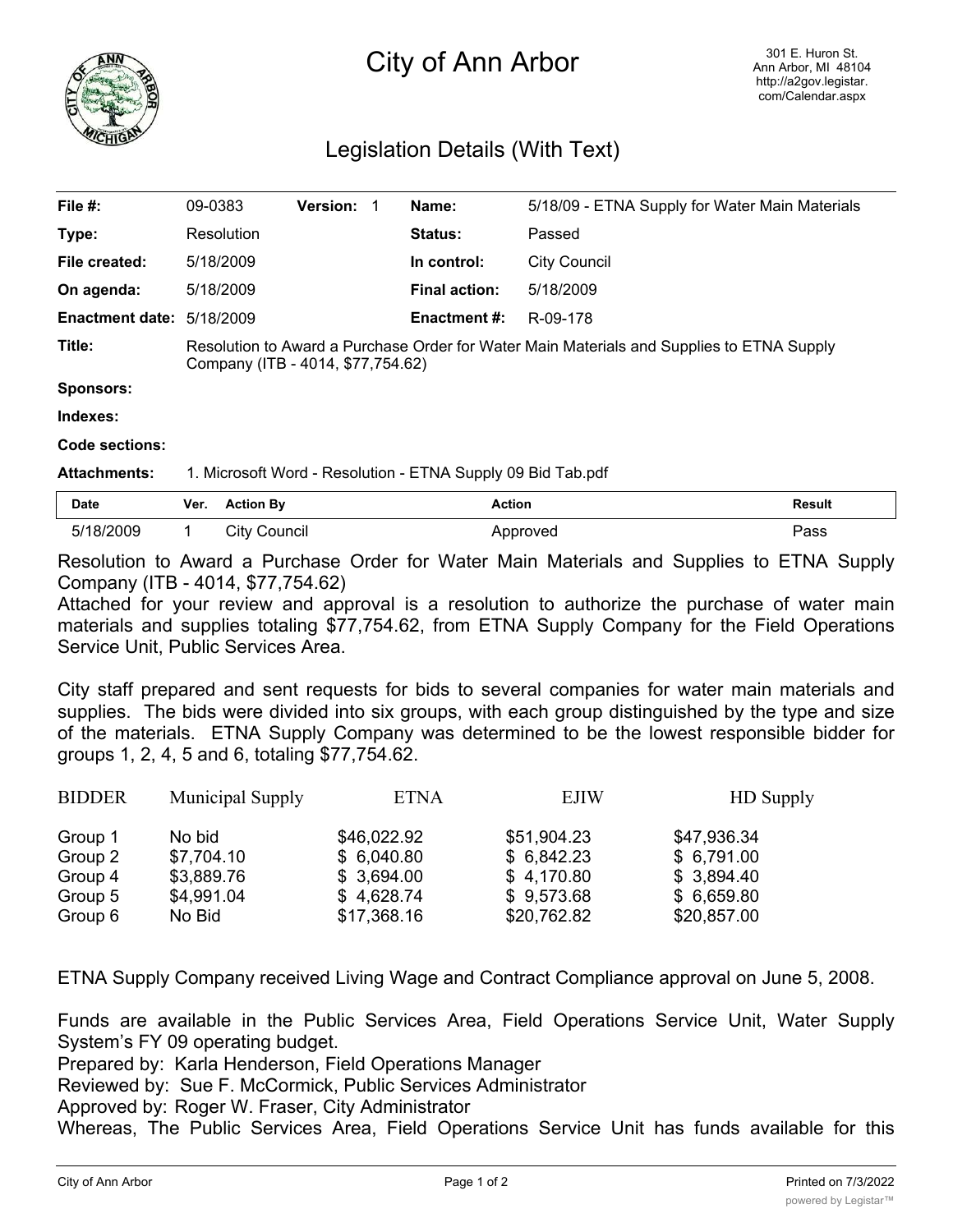

## City of Ann Arbor

## Legislation Details (With Text)

| File #:                          | 09-0383                                                                                                                        | <b>Version:</b> |             | Name:                | 5/18/09 - ETNA Supply for Water Main Materials |
|----------------------------------|--------------------------------------------------------------------------------------------------------------------------------|-----------------|-------------|----------------------|------------------------------------------------|
| Type:                            | Resolution                                                                                                                     |                 |             | <b>Status:</b>       | Passed                                         |
| File created:                    | 5/18/2009                                                                                                                      |                 | In control: | <b>City Council</b>  |                                                |
| On agenda:                       | 5/18/2009                                                                                                                      |                 |             | <b>Final action:</b> | 5/18/2009                                      |
| <b>Enactment date: 5/18/2009</b> |                                                                                                                                |                 |             | <b>Enactment #:</b>  | R-09-178                                       |
| Title:                           | Resolution to Award a Purchase Order for Water Main Materials and Supplies to ETNA Supply<br>Company (ITB - 4014, \$77,754.62) |                 |             |                      |                                                |
| <b>Sponsors:</b>                 |                                                                                                                                |                 |             |                      |                                                |
| Indexes:                         |                                                                                                                                |                 |             |                      |                                                |
| Code sections:                   |                                                                                                                                |                 |             |                      |                                                |
| <b>Attachments:</b>              | 1. Microsoft Word - Resolution - ETNA Supply 09 Bid Tab.pdf                                                                    |                 |             |                      |                                                |

| Date      | Ver. | <b>Action Bv</b> | <b>Action</b> | <b>Result</b> |
|-----------|------|------------------|---------------|---------------|
| 5/18/2009 |      | City Council     | Approved      | ⊃ass          |

Resolution to Award a Purchase Order for Water Main Materials and Supplies to ETNA Supply Company (ITB - 4014, \$77,754.62)

Attached for your review and approval is a resolution to authorize the purchase of water main materials and supplies totaling \$77,754.62, from ETNA Supply Company for the Field Operations Service Unit, Public Services Area.

City staff prepared and sent requests for bids to several companies for water main materials and supplies. The bids were divided into six groups, with each group distinguished by the type and size of the materials. ETNA Supply Company was determined to be the lowest responsible bidder for groups 1, 2, 4, 5 and 6, totaling \$77,754.62.

| <b>BIDDER</b> | Municipal Supply | <b>ETNA</b> | <b>EJIW</b> | <b>HD</b> Supply |
|---------------|------------------|-------------|-------------|------------------|
| Group 1       | No bid           | \$46,022.92 | \$51,904.23 | \$47,936.34      |
| Group 2       | \$7,704.10       | \$6,040.80  | \$6,842.23  | \$6,791.00       |
| Group 4       | \$3,889.76       | \$3,694.00  | \$4,170.80  | \$3,894.40       |
| Group 5       | \$4,991.04       | \$4,628.74  | \$9,573.68  | \$6,659.80       |
| Group 6       | No Bid           | \$17,368.16 | \$20,762.82 | \$20,857.00      |

ETNA Supply Company received Living Wage and Contract Compliance approval on June 5, 2008.

Funds are available in the Public Services Area, Field Operations Service Unit, Water Supply System's FY 09 operating budget.

Prepared by: Karla Henderson, Field Operations Manager

Reviewed by: Sue F. McCormick, Public Services Administrator

Approved by: Roger W. Fraser, City Administrator

Whereas, The Public Services Area, Field Operations Service Unit has funds available for this